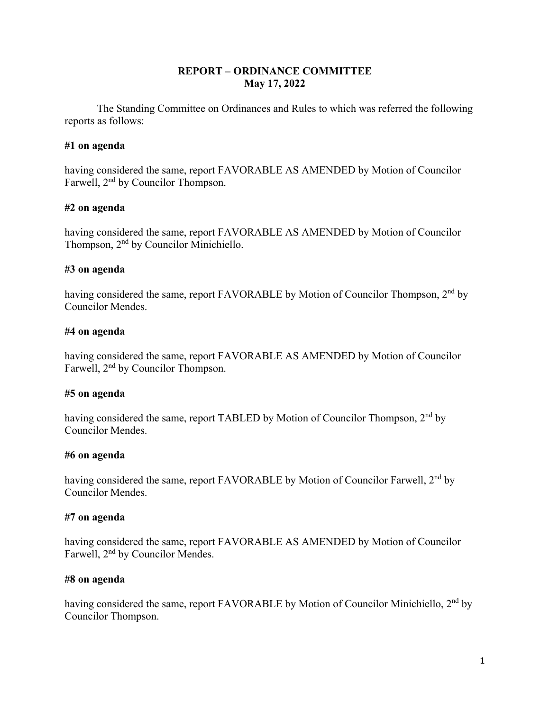# **REPORT – ORDINANCE COMMITTEE May 17, 2022**

The Standing Committee on Ordinances and Rules to which was referred the following reports as follows:

# **#1 on agenda**

having considered the same, report FAVORABLE AS AMENDED by Motion of Councilor Farwell, 2<sup>nd</sup> by Councilor Thompson.

# **#2 on agenda**

having considered the same, report FAVORABLE AS AMENDED by Motion of Councilor Thompson, 2<sup>nd</sup> by Councilor Minichiello.

## **#3 on agenda**

having considered the same, report FAVORABLE by Motion of Councilor Thompson, 2<sup>nd</sup> by Councilor Mendes.

## **#4 on agenda**

having considered the same, report FAVORABLE AS AMENDED by Motion of Councilor Farwell, 2<sup>nd</sup> by Councilor Thompson.

# **#5 on agenda**

having considered the same, report TABLED by Motion of Councilor Thompson, 2<sup>nd</sup> by Councilor Mendes.

### **#6 on agenda**

having considered the same, report FAVORABLE by Motion of Councilor Farwell, 2<sup>nd</sup> by Councilor Mendes.

# **#7 on agenda**

having considered the same, report FAVORABLE AS AMENDED by Motion of Councilor Farwell, 2nd by Councilor Mendes.

### **#8 on agenda**

having considered the same, report FAVORABLE by Motion of Councilor Minichiello, 2<sup>nd</sup> by Councilor Thompson.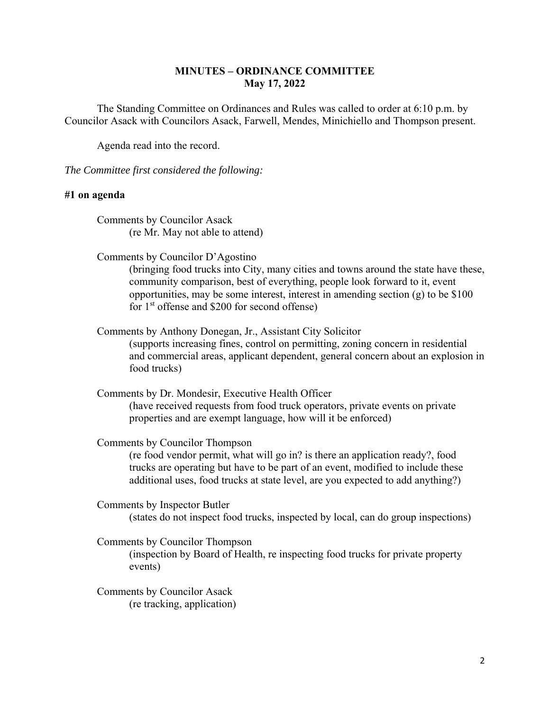# **MINUTES – ORDINANCE COMMITTEE May 17, 2022**

The Standing Committee on Ordinances and Rules was called to order at 6:10 p.m. by Councilor Asack with Councilors Asack, Farwell, Mendes, Minichiello and Thompson present.

Agenda read into the record.

*The Committee first considered the following:* 

### **#1 on agenda**

Comments by Councilor Asack (re Mr. May not able to attend)

Comments by Councilor D'Agostino

(bringing food trucks into City, many cities and towns around the state have these, community comparison, best of everything, people look forward to it, event opportunities, may be some interest, interest in amending section (g) to be \$100 for  $1<sup>st</sup>$  offense and \$200 for second offense)

Comments by Anthony Donegan, Jr., Assistant City Solicitor (supports increasing fines, control on permitting, zoning concern in residential and commercial areas, applicant dependent, general concern about an explosion in food trucks)

Comments by Dr. Mondesir, Executive Health Officer (have received requests from food truck operators, private events on private properties and are exempt language, how will it be enforced)

Comments by Councilor Thompson

(re food vendor permit, what will go in? is there an application ready?, food trucks are operating but have to be part of an event, modified to include these additional uses, food trucks at state level, are you expected to add anything?)

Comments by Inspector Butler (states do not inspect food trucks, inspected by local, can do group inspections)

Comments by Councilor Thompson

(inspection by Board of Health, re inspecting food trucks for private property events)

Comments by Councilor Asack (re tracking, application)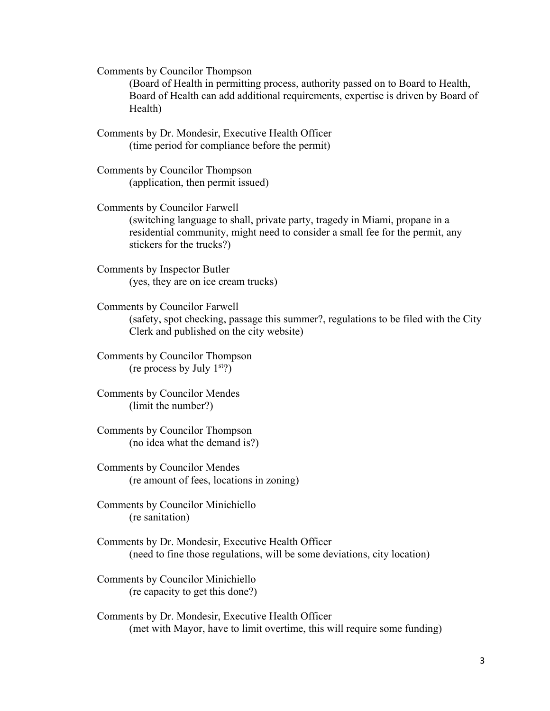Comments by Councilor Thompson

(Board of Health in permitting process, authority passed on to Board to Health, Board of Health can add additional requirements, expertise is driven by Board of Health)

Comments by Dr. Mondesir, Executive Health Officer (time period for compliance before the permit)

Comments by Councilor Thompson (application, then permit issued)

Comments by Councilor Farwell (switching language to shall, private party, tragedy in Miami, propane in a residential community, might need to consider a small fee for the permit, any stickers for the trucks?)

Comments by Inspector Butler (yes, they are on ice cream trucks)

Comments by Councilor Farwell (safety, spot checking, passage this summer?, regulations to be filed with the City Clerk and published on the city website)

Comments by Councilor Thompson (re process by July  $1<sup>st</sup>$ ?)

Comments by Councilor Mendes (limit the number?)

Comments by Councilor Thompson (no idea what the demand is?)

Comments by Councilor Mendes (re amount of fees, locations in zoning)

Comments by Councilor Minichiello (re sanitation)

Comments by Dr. Mondesir, Executive Health Officer (need to fine those regulations, will be some deviations, city location)

Comments by Councilor Minichiello (re capacity to get this done?)

Comments by Dr. Mondesir, Executive Health Officer (met with Mayor, have to limit overtime, this will require some funding)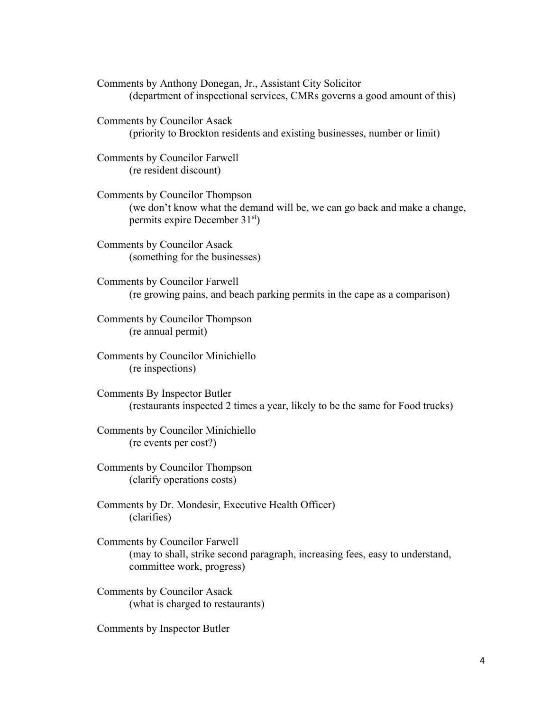Comments by Anthony Donegan, Jr., Assistant City Solicitor (department of inspectional services, CMRs governs a good amount of this)

Comments by Councilor Asack (priority to Brockton residents and existing businesses, number or limit)

Comments by Councilor Farwell (re resident discount)

Comments by Councilor Thompson (we don't know what the demand will be, we can go back and make a change, permits expire December 31<sup>st</sup>)

Comments by Councilor Asack (something for the businesses)

Comments by Councilor Farwell (re growing pains, and beach parking permits in the cape as a comparison)

Comments by Councilor Thompson (re annual permit)

Comments by Councilor Minichiello (re inspections)

Comments By Inspector Butler (restaurants inspected 2 times a year, likely to be the same for Food trucks)

Comments by Councilor Minichiello (re events per cost?)

Comments by Councilor Thompson (clarify operations costs)

Comments by Dr. Mondesir, Executive Health Officer) (clarifies)

Comments by Councilor Farwell (may to shall, strike second paragraph, increasing fees, easy to understand, committee work, progress)

Comments by Councilor Asack (what is charged to restaurants)

Comments by Inspector Butler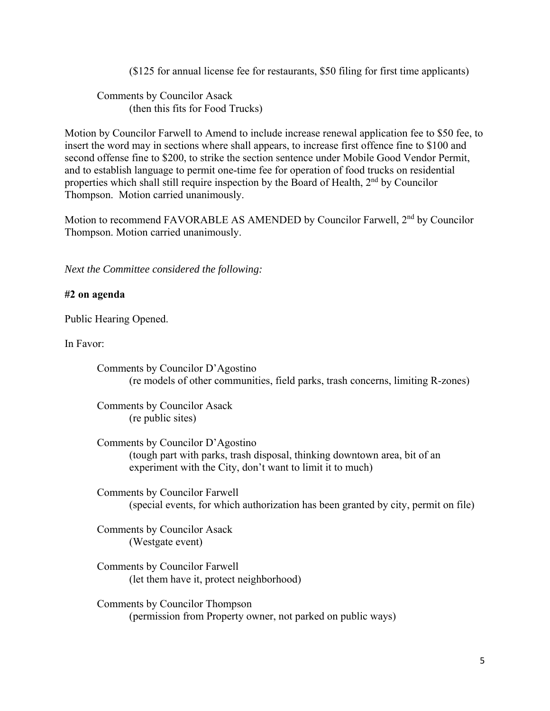(\$125 for annual license fee for restaurants, \$50 filing for first time applicants)

Comments by Councilor Asack (then this fits for Food Trucks)

Motion by Councilor Farwell to Amend to include increase renewal application fee to \$50 fee, to insert the word may in sections where shall appears, to increase first offence fine to \$100 and second offense fine to \$200, to strike the section sentence under Mobile Good Vendor Permit, and to establish language to permit one-time fee for operation of food trucks on residential properties which shall still require inspection by the Board of Health, 2<sup>nd</sup> by Councilor Thompson. Motion carried unanimously.

Motion to recommend FAVORABLE AS AMENDED by Councilor Farwell, 2<sup>nd</sup> by Councilor Thompson. Motion carried unanimously.

*Next the Committee considered the following:* 

## **#2 on agenda**

Public Hearing Opened.

In Favor:

Comments by Councilor D'Agostino (re models of other communities, field parks, trash concerns, limiting R-zones)

Comments by Councilor Asack (re public sites)

Comments by Councilor D'Agostino (tough part with parks, trash disposal, thinking downtown area, bit of an experiment with the City, don't want to limit it to much)

Comments by Councilor Farwell (special events, for which authorization has been granted by city, permit on file)

Comments by Councilor Asack (Westgate event)

Comments by Councilor Farwell (let them have it, protect neighborhood)

Comments by Councilor Thompson (permission from Property owner, not parked on public ways)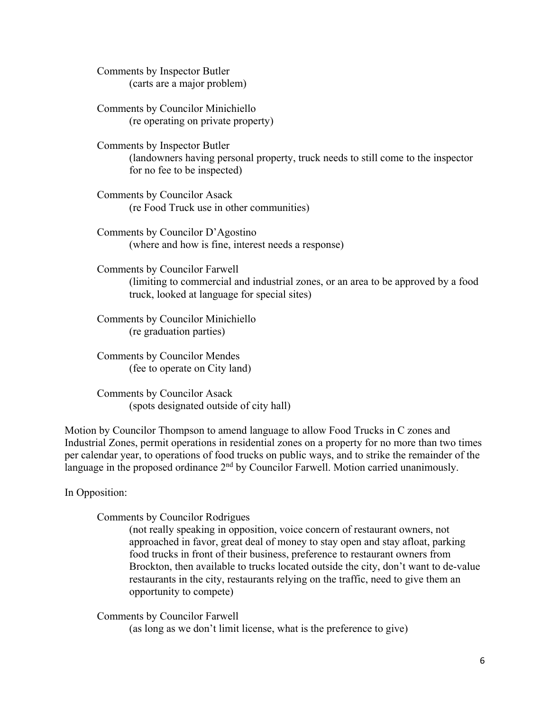Comments by Inspector Butler (carts are a major problem)

Comments by Councilor Minichiello (re operating on private property)

Comments by Inspector Butler (landowners having personal property, truck needs to still come to the inspector for no fee to be inspected)

Comments by Councilor Asack (re Food Truck use in other communities)

Comments by Councilor D'Agostino (where and how is fine, interest needs a response)

Comments by Councilor Farwell (limiting to commercial and industrial zones, or an area to be approved by a food truck, looked at language for special sites)

Comments by Councilor Minichiello (re graduation parties)

Comments by Councilor Mendes (fee to operate on City land)

Comments by Councilor Asack (spots designated outside of city hall)

Motion by Councilor Thompson to amend language to allow Food Trucks in C zones and Industrial Zones, permit operations in residential zones on a property for no more than two times per calendar year, to operations of food trucks on public ways, and to strike the remainder of the language in the proposed ordinance 2<sup>nd</sup> by Councilor Farwell. Motion carried unanimously.

In Opposition:

Comments by Councilor Rodrigues

(not really speaking in opposition, voice concern of restaurant owners, not approached in favor, great deal of money to stay open and stay afloat, parking food trucks in front of their business, preference to restaurant owners from Brockton, then available to trucks located outside the city, don't want to de-value restaurants in the city, restaurants relying on the traffic, need to give them an opportunity to compete)

Comments by Councilor Farwell

(as long as we don't limit license, what is the preference to give)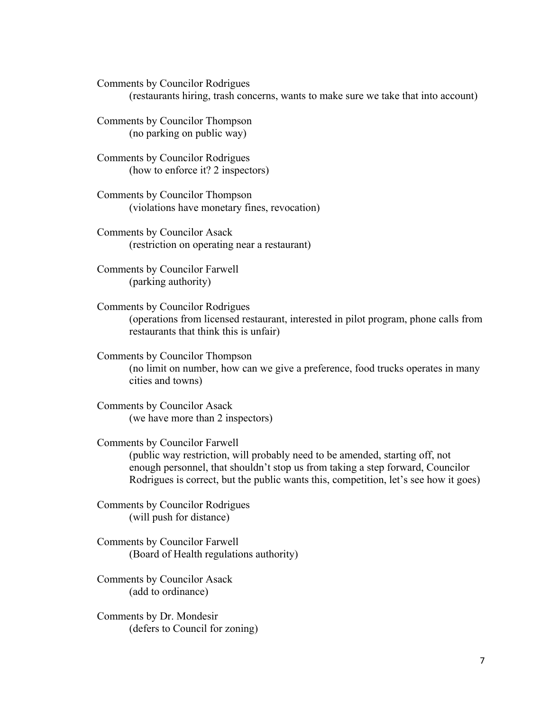Comments by Councilor Rodrigues

(restaurants hiring, trash concerns, wants to make sure we take that into account)

Comments by Councilor Thompson (no parking on public way)

Comments by Councilor Rodrigues (how to enforce it? 2 inspectors)

Comments by Councilor Thompson (violations have monetary fines, revocation)

Comments by Councilor Asack (restriction on operating near a restaurant)

Comments by Councilor Farwell (parking authority)

Comments by Councilor Rodrigues (operations from licensed restaurant, interested in pilot program, phone calls from restaurants that think this is unfair)

Comments by Councilor Thompson (no limit on number, how can we give a preference, food trucks operates in many cities and towns)

Comments by Councilor Asack (we have more than 2 inspectors)

Comments by Councilor Farwell (public way restriction, will probably need to be amended, starting off, not enough personnel, that shouldn't stop us from taking a step forward, Councilor Rodrigues is correct, but the public wants this, competition, let's see how it goes)

Comments by Councilor Rodrigues (will push for distance)

Comments by Councilor Farwell (Board of Health regulations authority)

Comments by Councilor Asack (add to ordinance)

Comments by Dr. Mondesir (defers to Council for zoning)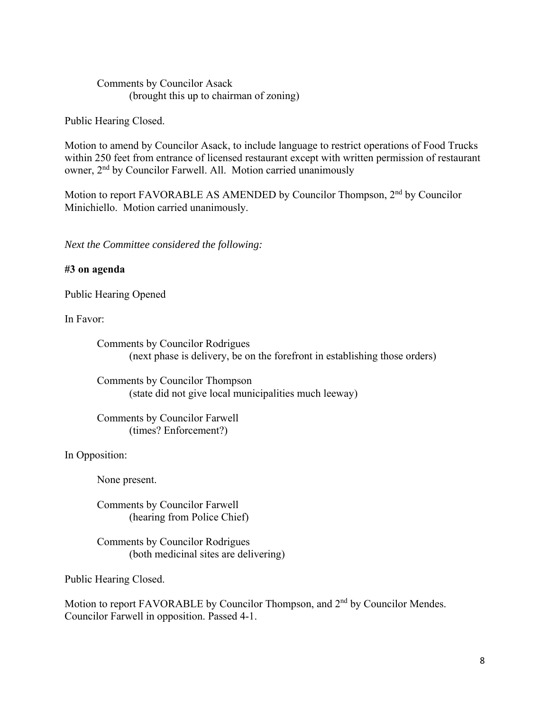# Comments by Councilor Asack (brought this up to chairman of zoning)

Public Hearing Closed.

Motion to amend by Councilor Asack, to include language to restrict operations of Food Trucks within 250 feet from entrance of licensed restaurant except with written permission of restaurant owner, 2<sup>nd</sup> by Councilor Farwell. All. Motion carried unanimously

Motion to report FAVORABLE AS AMENDED by Councilor Thompson, 2nd by Councilor Minichiello. Motion carried unanimously.

*Next the Committee considered the following:* 

# **#3 on agenda**

Public Hearing Opened

In Favor:

Comments by Councilor Rodrigues (next phase is delivery, be on the forefront in establishing those orders)

Comments by Councilor Thompson (state did not give local municipalities much leeway)

Comments by Councilor Farwell (times? Enforcement?)

In Opposition:

None present.

Comments by Councilor Farwell (hearing from Police Chief)

Comments by Councilor Rodrigues (both medicinal sites are delivering)

Public Hearing Closed.

Motion to report FAVORABLE by Councilor Thompson, and 2<sup>nd</sup> by Councilor Mendes. Councilor Farwell in opposition. Passed 4-1.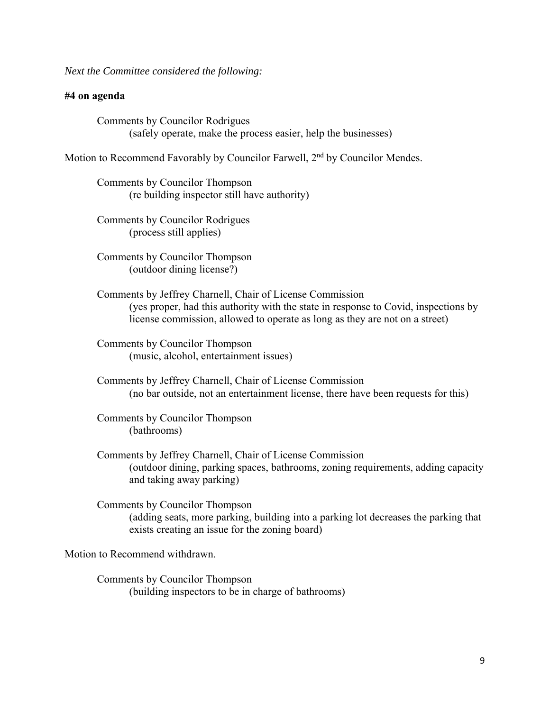*Next the Committee considered the following:* 

## **#4 on agenda**

Comments by Councilor Rodrigues (safely operate, make the process easier, help the businesses)

Motion to Recommend Favorably by Councilor Farwell, 2<sup>nd</sup> by Councilor Mendes.

Comments by Councilor Thompson (re building inspector still have authority)

Comments by Councilor Rodrigues (process still applies)

Comments by Councilor Thompson (outdoor dining license?)

Comments by Jeffrey Charnell, Chair of License Commission (yes proper, had this authority with the state in response to Covid, inspections by license commission, allowed to operate as long as they are not on a street)

Comments by Councilor Thompson (music, alcohol, entertainment issues)

Comments by Jeffrey Charnell, Chair of License Commission (no bar outside, not an entertainment license, there have been requests for this)

Comments by Councilor Thompson (bathrooms)

Comments by Jeffrey Charnell, Chair of License Commission (outdoor dining, parking spaces, bathrooms, zoning requirements, adding capacity and taking away parking)

Comments by Councilor Thompson (adding seats, more parking, building into a parking lot decreases the parking that exists creating an issue for the zoning board)

Motion to Recommend withdrawn.

Comments by Councilor Thompson (building inspectors to be in charge of bathrooms)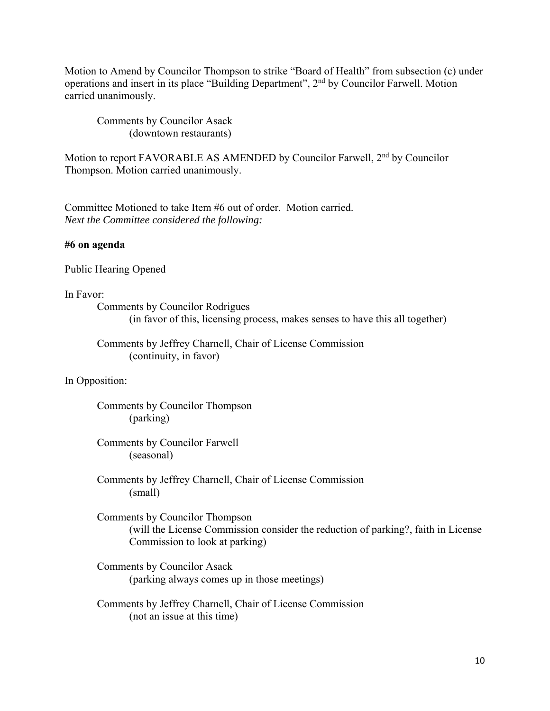Motion to Amend by Councilor Thompson to strike "Board of Health" from subsection (c) under operations and insert in its place "Building Department", 2nd by Councilor Farwell. Motion carried unanimously.

Comments by Councilor Asack (downtown restaurants)

Motion to report FAVORABLE AS AMENDED by Councilor Farwell, 2<sup>nd</sup> by Councilor Thompson. Motion carried unanimously.

Committee Motioned to take Item #6 out of order. Motion carried. *Next the Committee considered the following:* 

### **#6 on agenda**

Public Hearing Opened

## In Favor:

Comments by Councilor Rodrigues (in favor of this, licensing process, makes senses to have this all together)

Comments by Jeffrey Charnell, Chair of License Commission (continuity, in favor)

### In Opposition:

Comments by Councilor Thompson (parking)

Comments by Councilor Farwell (seasonal)

Comments by Jeffrey Charnell, Chair of License Commission (small)

Comments by Councilor Thompson (will the License Commission consider the reduction of parking?, faith in License Commission to look at parking)

Comments by Councilor Asack (parking always comes up in those meetings)

Comments by Jeffrey Charnell, Chair of License Commission (not an issue at this time)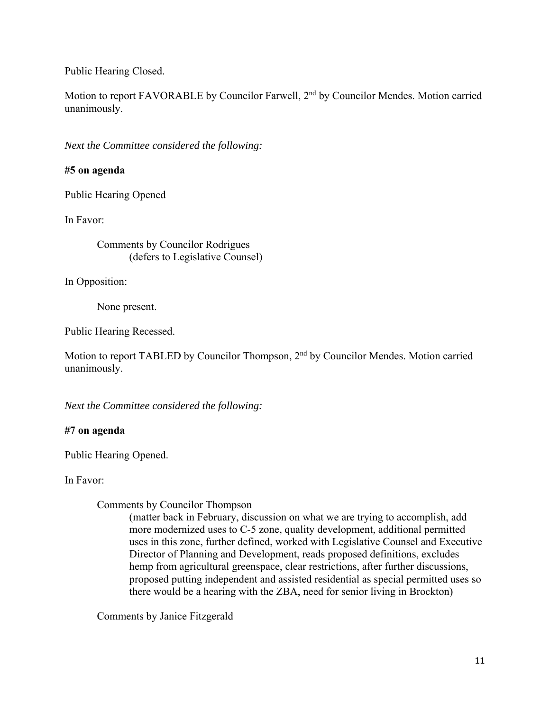Public Hearing Closed.

Motion to report FAVORABLE by Councilor Farwell, 2<sup>nd</sup> by Councilor Mendes. Motion carried unanimously.

*Next the Committee considered the following:* 

# **#5 on agenda**

Public Hearing Opened

In Favor:

Comments by Councilor Rodrigues (defers to Legislative Counsel)

In Opposition:

None present.

Public Hearing Recessed.

Motion to report TABLED by Councilor Thompson, 2<sup>nd</sup> by Councilor Mendes. Motion carried unanimously.

*Next the Committee considered the following:* 

# **#7 on agenda**

Public Hearing Opened.

In Favor:

### Comments by Councilor Thompson

(matter back in February, discussion on what we are trying to accomplish, add more modernized uses to C-5 zone, quality development, additional permitted uses in this zone, further defined, worked with Legislative Counsel and Executive Director of Planning and Development, reads proposed definitions, excludes hemp from agricultural greenspace, clear restrictions, after further discussions, proposed putting independent and assisted residential as special permitted uses so there would be a hearing with the ZBA, need for senior living in Brockton)

Comments by Janice Fitzgerald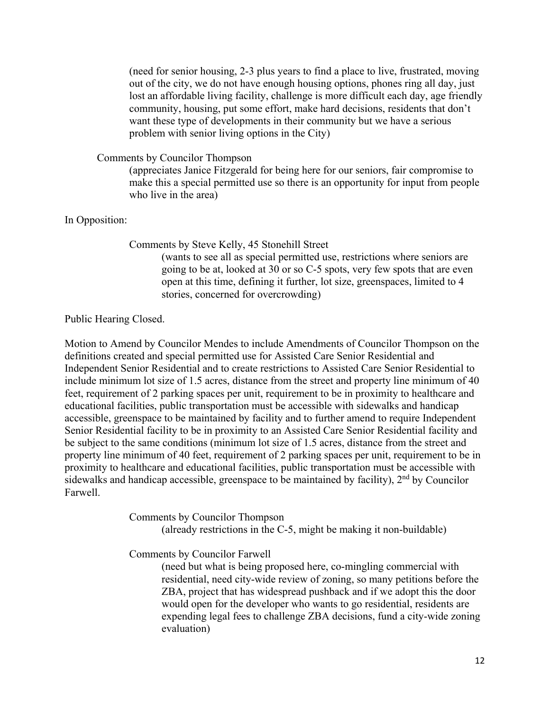(need for senior housing, 2-3 plus years to find a place to live, frustrated, moving out of the city, we do not have enough housing options, phones ring all day, just lost an affordable living facility, challenge is more difficult each day, age friendly community, housing, put some effort, make hard decisions, residents that don't want these type of developments in their community but we have a serious problem with senior living options in the City)

Comments by Councilor Thompson

(appreciates Janice Fitzgerald for being here for our seniors, fair compromise to make this a special permitted use so there is an opportunity for input from people who live in the area)

In Opposition:

Comments by Steve Kelly, 45 Stonehill Street

(wants to see all as special permitted use, restrictions where seniors are going to be at, looked at 30 or so C-5 spots, very few spots that are even open at this time, defining it further, lot size, greenspaces, limited to 4 stories, concerned for overcrowding)

#### Public Hearing Closed.

Motion to Amend by Councilor Mendes to include Amendments of Councilor Thompson on the definitions created and special permitted use for Assisted Care Senior Residential and Independent Senior Residential and to create restrictions to Assisted Care Senior Residential to include minimum lot size of 1.5 acres, distance from the street and property line minimum of 40 feet, requirement of 2 parking spaces per unit, requirement to be in proximity to healthcare and educational facilities, public transportation must be accessible with sidewalks and handicap accessible, greenspace to be maintained by facility and to further amend to require Independent Senior Residential facility to be in proximity to an Assisted Care Senior Residential facility and be subject to the same conditions (minimum lot size of 1.5 acres, distance from the street and property line minimum of 40 feet, requirement of 2 parking spaces per unit, requirement to be in proximity to healthcare and educational facilities, public transportation must be accessible with sidewalks and handicap accessible, greenspace to be maintained by facility),  $2<sup>nd</sup>$  by Councilor Farwell.

Comments by Councilor Thompson

(already restrictions in the C-5, might be making it non-buildable)

Comments by Councilor Farwell

(need but what is being proposed here, co-mingling commercial with residential, need city-wide review of zoning, so many petitions before the ZBA, project that has widespread pushback and if we adopt this the door would open for the developer who wants to go residential, residents are expending legal fees to challenge ZBA decisions, fund a city-wide zoning evaluation)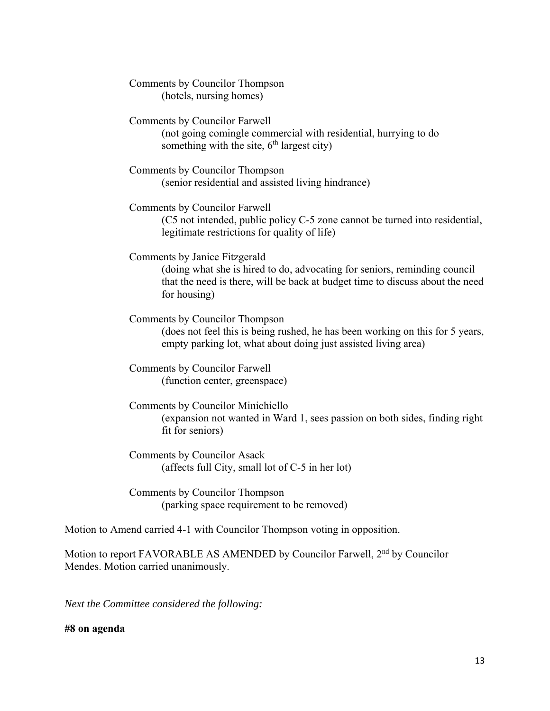Comments by Councilor Thompson (hotels, nursing homes)

Comments by Councilor Farwell (not going comingle commercial with residential, hurrying to do something with the site,  $6<sup>th</sup>$  largest city)

Comments by Councilor Thompson (senior residential and assisted living hindrance)

Comments by Councilor Farwell (C5 not intended, public policy C-5 zone cannot be turned into residential, legitimate restrictions for quality of life)

Comments by Janice Fitzgerald

(doing what she is hired to do, advocating for seniors, reminding council that the need is there, will be back at budget time to discuss about the need for housing)

Comments by Councilor Thompson (does not feel this is being rushed, he has been working on this for 5 years, empty parking lot, what about doing just assisted living area)

Comments by Councilor Farwell (function center, greenspace)

Comments by Councilor Minichiello (expansion not wanted in Ward 1, sees passion on both sides, finding right fit for seniors)

Comments by Councilor Asack (affects full City, small lot of C-5 in her lot)

Comments by Councilor Thompson (parking space requirement to be removed)

Motion to Amend carried 4-1 with Councilor Thompson voting in opposition.

Motion to report FAVORABLE AS AMENDED by Councilor Farwell, 2<sup>nd</sup> by Councilor Mendes. Motion carried unanimously.

*Next the Committee considered the following:* 

**#8 on agenda**